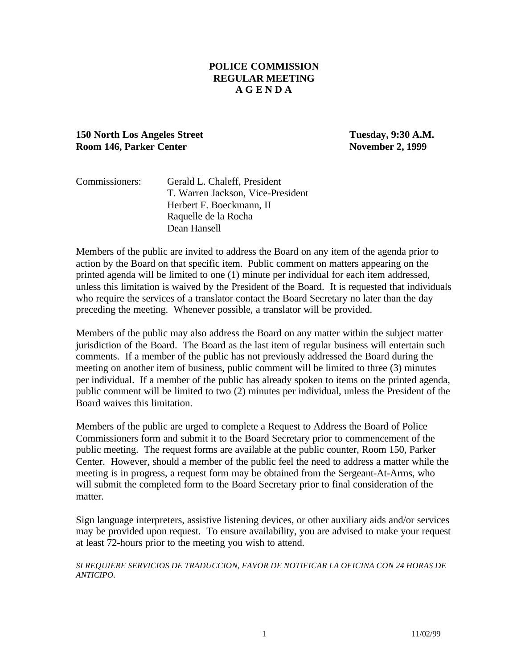### **POLICE COMMISSION REGULAR MEETING A G E N D A**

## **150 North Los Angeles Street Tuesday, 9:30 A.M. Room 146, Parker Center November 2, 1999**

| Commissioners: | Gerald L. Chaleff, President      |
|----------------|-----------------------------------|
|                | T. Warren Jackson, Vice-President |
|                | Herbert F. Boeckmann, II          |
|                | Raquelle de la Rocha              |
|                | Dean Hansell                      |

Members of the public are invited to address the Board on any item of the agenda prior to action by the Board on that specific item. Public comment on matters appearing on the printed agenda will be limited to one (1) minute per individual for each item addressed, unless this limitation is waived by the President of the Board. It is requested that individuals who require the services of a translator contact the Board Secretary no later than the day preceding the meeting. Whenever possible, a translator will be provided.

Members of the public may also address the Board on any matter within the subject matter jurisdiction of the Board. The Board as the last item of regular business will entertain such comments. If a member of the public has not previously addressed the Board during the meeting on another item of business, public comment will be limited to three (3) minutes per individual. If a member of the public has already spoken to items on the printed agenda, public comment will be limited to two (2) minutes per individual, unless the President of the Board waives this limitation.

Members of the public are urged to complete a Request to Address the Board of Police Commissioners form and submit it to the Board Secretary prior to commencement of the public meeting. The request forms are available at the public counter, Room 150, Parker Center. However, should a member of the public feel the need to address a matter while the meeting is in progress, a request form may be obtained from the Sergeant-At-Arms, who will submit the completed form to the Board Secretary prior to final consideration of the matter.

Sign language interpreters, assistive listening devices, or other auxiliary aids and/or services may be provided upon request. To ensure availability, you are advised to make your request at least 72-hours prior to the meeting you wish to attend.

*SI REQUIERE SERVICIOS DE TRADUCCION, FAVOR DE NOTIFICAR LA OFICINA CON 24 HORAS DE ANTICIPO*.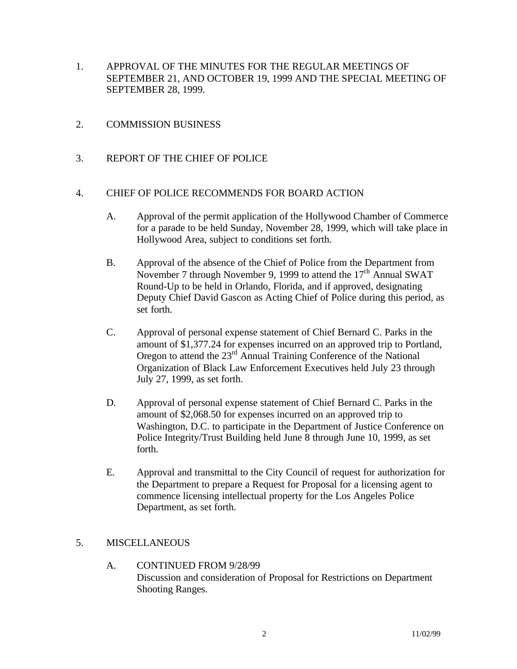- 1. APPROVAL OF THE MINUTES FOR THE REGULAR MEETINGS OF SEPTEMBER 21, AND OCTOBER 19, 1999 AND THE SPECIAL MEETING OF SEPTEMBER 28, 1999.
- 2. COMMISSION BUSINESS
- 3. REPORT OF THE CHIEF OF POLICE

#### 4. CHIEF OF POLICE RECOMMENDS FOR BOARD ACTION

- A. Approval of the permit application of the Hollywood Chamber of Commerce for a parade to be held Sunday, November 28, 1999, which will take place in Hollywood Area, subject to conditions set forth.
- B. Approval of the absence of the Chief of Police from the Department from November 7 through November 9, 1999 to attend the 17<sup>th</sup> Annual SWAT Round-Up to be held in Orlando, Florida, and if approved, designating Deputy Chief David Gascon as Acting Chief of Police during this period, as set forth.
- C. Approval of personal expense statement of Chief Bernard C. Parks in the amount of \$1,377.24 for expenses incurred on an approved trip to Portland, Oregon to attend the 23rd Annual Training Conference of the National Organization of Black Law Enforcement Executives held July 23 through July 27, 1999, as set forth.
- D. Approval of personal expense statement of Chief Bernard C. Parks in the amount of \$2,068.50 for expenses incurred on an approved trip to Washington, D.C. to participate in the Department of Justice Conference on Police Integrity/Trust Building held June 8 through June 10, 1999, as set forth.
- E. Approval and transmittal to the City Council of request for authorization for the Department to prepare a Request for Proposal for a licensing agent to commence licensing intellectual property for the Los Angeles Police Department, as set forth.

#### 5. MISCELLANEOUS

A. CONTINUED FROM 9/28/99 Discussion and consideration of Proposal for Restrictions on Department Shooting Ranges.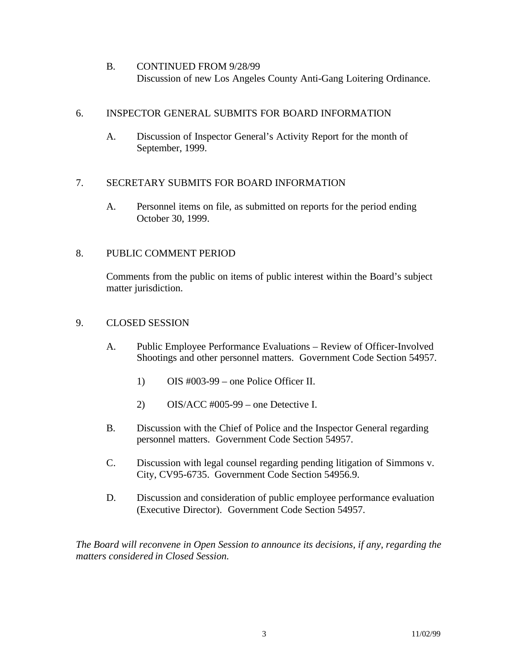B. CONTINUED FROM 9/28/99 Discussion of new Los Angeles County Anti-Gang Loitering Ordinance.

## 6. INSPECTOR GENERAL SUBMITS FOR BOARD INFORMATION

A. Discussion of Inspector General's Activity Report for the month of September, 1999.

# 7. SECRETARY SUBMITS FOR BOARD INFORMATION

A. Personnel items on file, as submitted on reports for the period ending October 30, 1999.

# 8. PUBLIC COMMENT PERIOD

Comments from the public on items of public interest within the Board's subject matter jurisdiction.

# 9. CLOSED SESSION

- A. Public Employee Performance Evaluations Review of Officer-Involved Shootings and other personnel matters. Government Code Section 54957.
	- 1) OIS #003-99 one Police Officer II.
	- 2) OIS/ACC #005-99 one Detective I.
- B. Discussion with the Chief of Police and the Inspector General regarding personnel matters. Government Code Section 54957.
- C. Discussion with legal counsel regarding pending litigation of Simmons v. City, CV95-6735. Government Code Section 54956.9.
- D. Discussion and consideration of public employee performance evaluation (Executive Director). Government Code Section 54957.

*The Board will reconvene in Open Session to announce its decisions, if any, regarding the matters considered in Closed Session.*